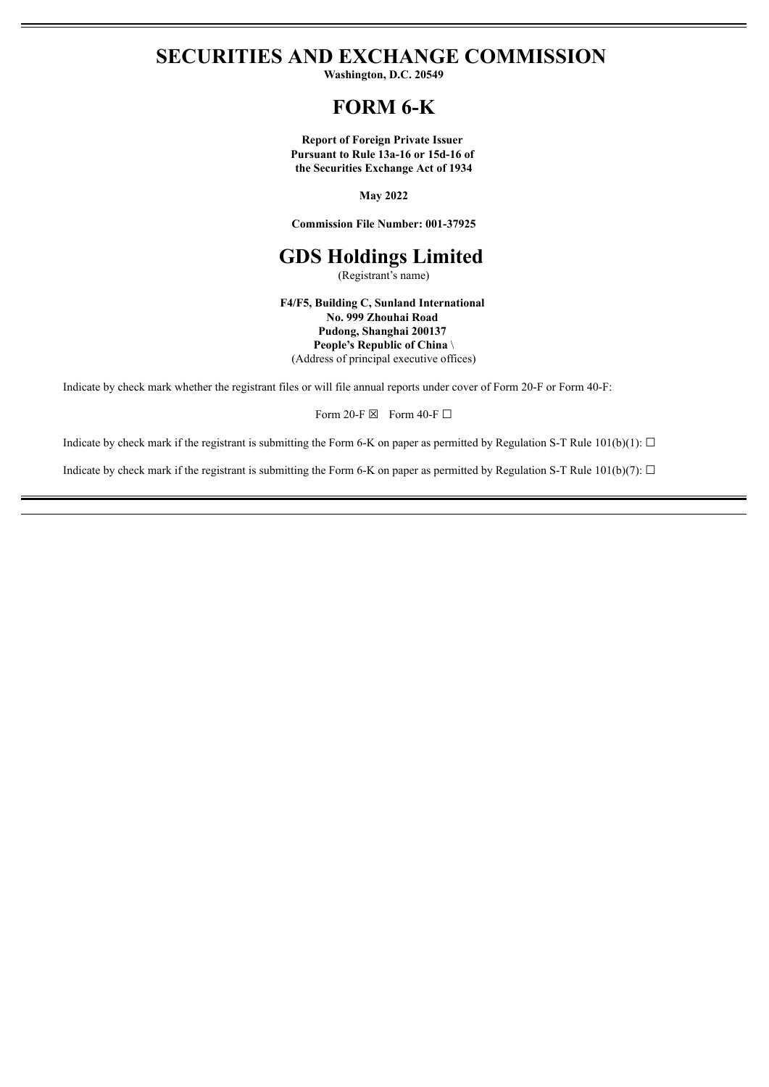**SECURITIES AND EXCHANGE COMMISSION**

**Washington, D.C. 20549**

# **FORM 6-K**

**Report of Foreign Private Issuer Pursuant to Rule 13a-16 or 15d-16 of the Securities Exchange Act of 1934**

**May 2022**

**Commission File Number: 001-37925**

# **GDS Holdings Limited**

(Registrant's name)

**F4/F5, Building C, Sunland International No. 999 Zhouhai Road Pudong, Shanghai 200137 People's Republic of China** \ (Address of principal executive offices)

Indicate by check mark whether the registrant files or will file annual reports under cover of Form 20-F or Form 40-F:

Form 20-F  $\boxtimes$  Form 40-F  $\Box$ 

Indicate by check mark if the registrant is submitting the Form 6-K on paper as permitted by Regulation S-T Rule  $101(b)(1)$ :  $\Box$ 

Indicate by check mark if the registrant is submitting the Form 6-K on paper as permitted by Regulation S-T Rule 101(b)(7):  $\Box$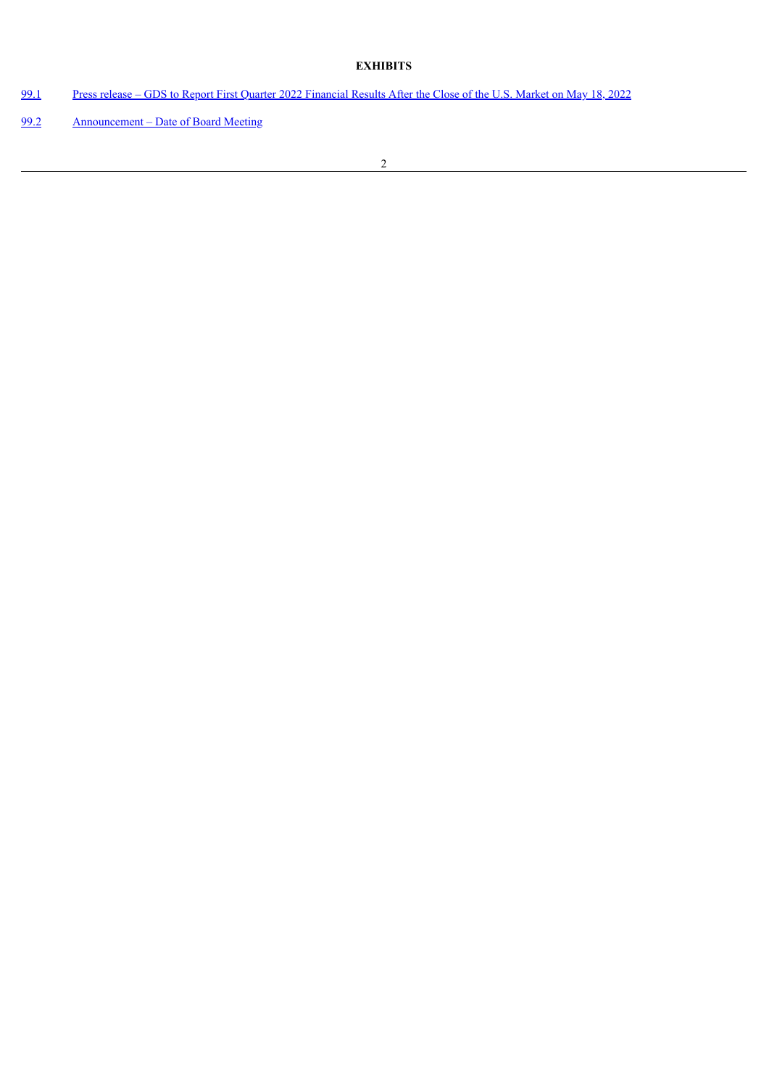## **EXHIBITS**

- [99.1](#page-3-0) Press release GDS to Report First Quarter 2022 [Financial](#page-3-0) Results After the Close of the U.S. Market on May 18, 2022
- [99.2](#page-5-0) [Announcement](#page-5-0) Date of Board Meeting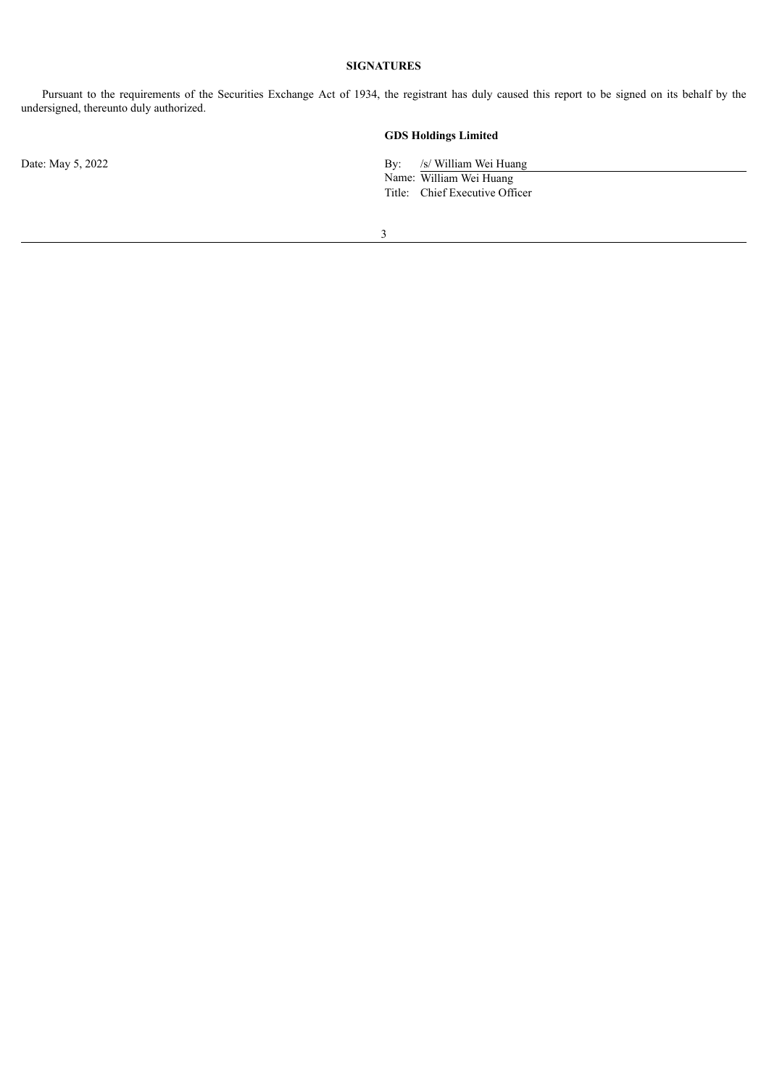## **SIGNATURES**

Pursuant to the requirements of the Securities Exchange Act of 1934, the registrant has duly caused this report to be signed on its behalf by the undersigned, thereunto duly authorized.

## **GDS Holdings Limited**

Date: May 5, 2022 By: /s/ William Wei Huang

Name: William Wei Huang Title: Chief Executive Officer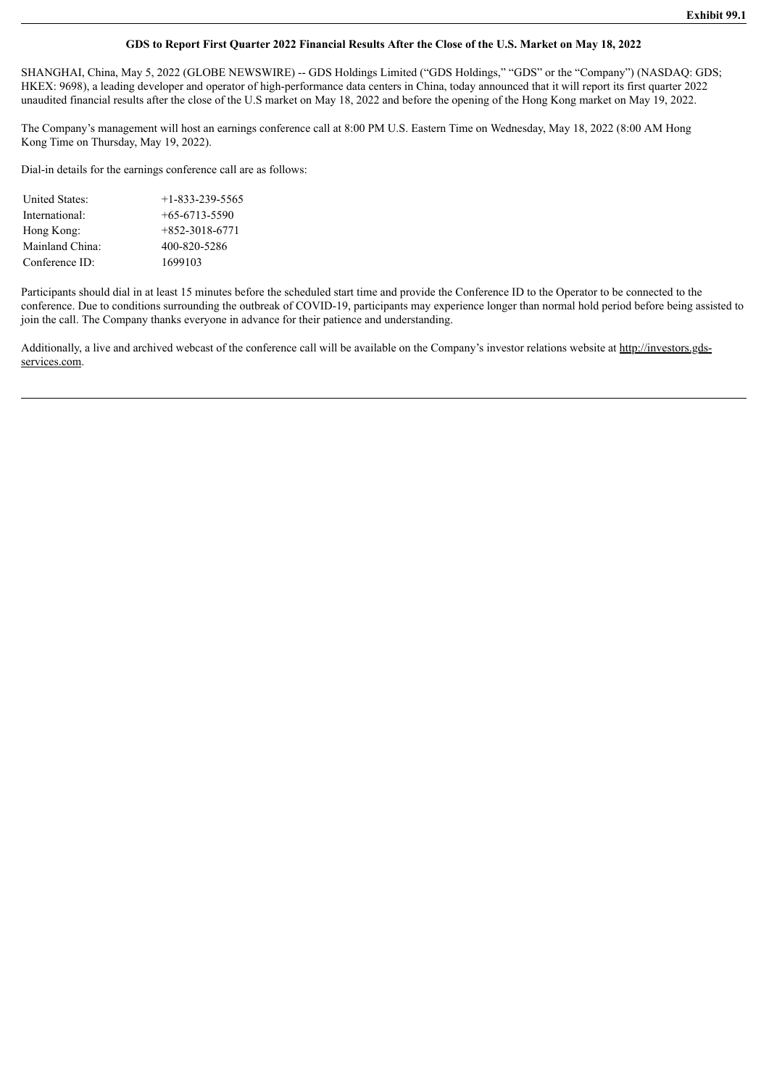#### GDS to Report First Quarter 2022 Financial Results After the Close of the U.S. Market on May 18, 2022

<span id="page-3-0"></span>SHANGHAI, China, May 5, 2022 (GLOBE NEWSWIRE) -- GDS Holdings Limited ("GDS Holdings," "GDS" or the "Company") (NASDAQ: GDS; HKEX: 9698), a leading developer and operator of high-performance data centers in China, today announced that it will report its first quarter 2022 unaudited financial results after the close of the U.S market on May 18, 2022 and before the opening of the Hong Kong market on May 19, 2022.

The Company's management will host an earnings conference call at 8:00 PM U.S. Eastern Time on Wednesday, May 18, 2022 (8:00 AM Hong Kong Time on Thursday, May 19, 2022).

Dial-in details for the earnings conference call are as follows:

| United States:  | $+1 - 833 - 239 - 5565$ |
|-----------------|-------------------------|
| International:  | $+65-6713-5590$         |
| Hong Kong:      | $+852-3018-6771$        |
| Mainland China: | 400-820-5286            |
| Conference ID:  | 1699103                 |

Participants should dial in at least 15 minutes before the scheduled start time and provide the Conference ID to the Operator to be connected to the conference. Due to conditions surrounding the outbreak of COVID-19, participants may experience longer than normal hold period before being assisted to join the call. The Company thanks everyone in advance for their patience and understanding.

Additionally, a live and archived webcast of the conference call will be available on the Company's investor relations website at http://investors.gdsservices.com.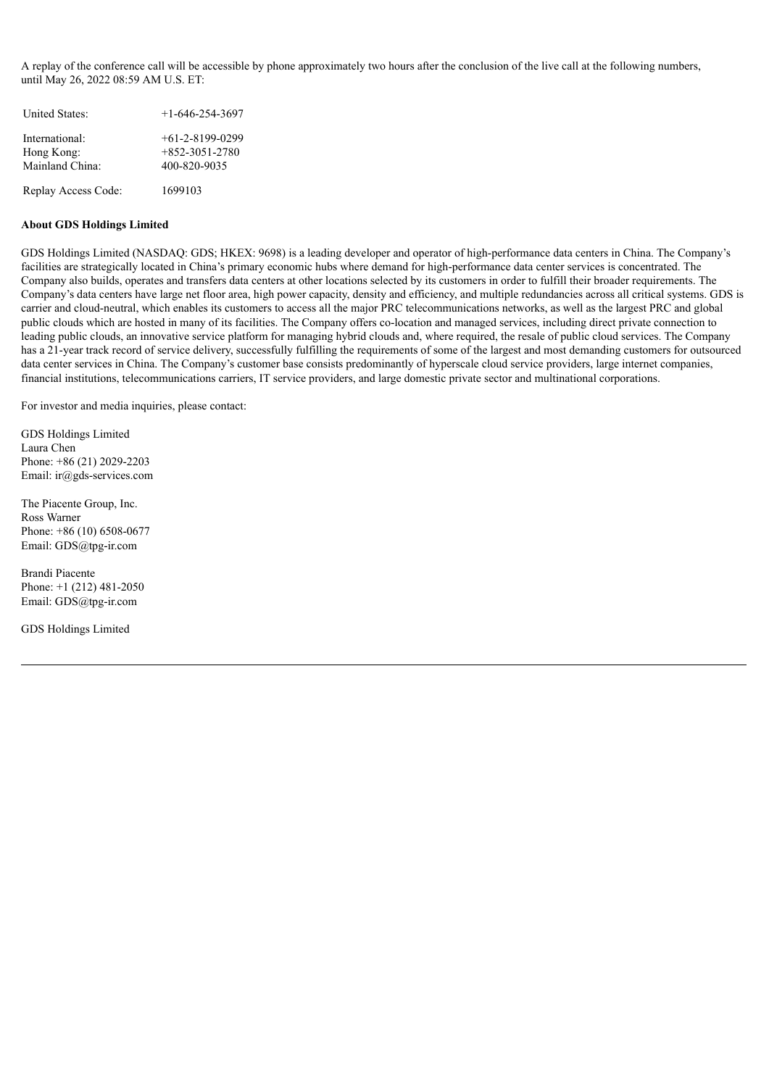A replay of the conference call will be accessible by phone approximately two hours after the conclusion of the live call at the following numbers, until May 26, 2022 08:59 AM U.S. ET:

| <b>United States:</b>                           | $+1-646-254-3697$                                     |
|-------------------------------------------------|-------------------------------------------------------|
| International:<br>Hong Kong:<br>Mainland China: | $+61-2-8199-0299$<br>$+852-3051-2780$<br>400-820-9035 |
| Replay Access Code:                             | 1699103                                               |

#### **About GDS Holdings Limited**

GDS Holdings Limited (NASDAQ: GDS; HKEX: 9698) is a leading developer and operator of high-performance data centers in China. The Company's facilities are strategically located in China's primary economic hubs where demand for high-performance data center services is concentrated. The Company also builds, operates and transfers data centers at other locations selected by its customers in order to fulfill their broader requirements. The Company's data centers have large net floor area, high power capacity, density and efficiency, and multiple redundancies across all critical systems. GDS is carrier and cloud-neutral, which enables its customers to access all the major PRC telecommunications networks, as well as the largest PRC and global public clouds which are hosted in many of its facilities. The Company offers co-location and managed services, including direct private connection to leading public clouds, an innovative service platform for managing hybrid clouds and, where required, the resale of public cloud services. The Company has a 21-year track record of service delivery, successfully fulfilling the requirements of some of the largest and most demanding customers for outsourced data center services in China. The Company's customer base consists predominantly of hyperscale cloud service providers, large internet companies, financial institutions, telecommunications carriers, IT service providers, and large domestic private sector and multinational corporations.

For investor and media inquiries, please contact:

GDS Holdings Limited Laura Chen Phone: +86 (21) 2029-2203 Email: ir@gds-services.com

The Piacente Group, Inc. Ross Warner Phone: +86 (10) 6508-0677 Email: GDS@tpg-ir.com

Brandi Piacente Phone: +1 (212) 481-2050 Email: GDS@tpg-ir.com

GDS Holdings Limited